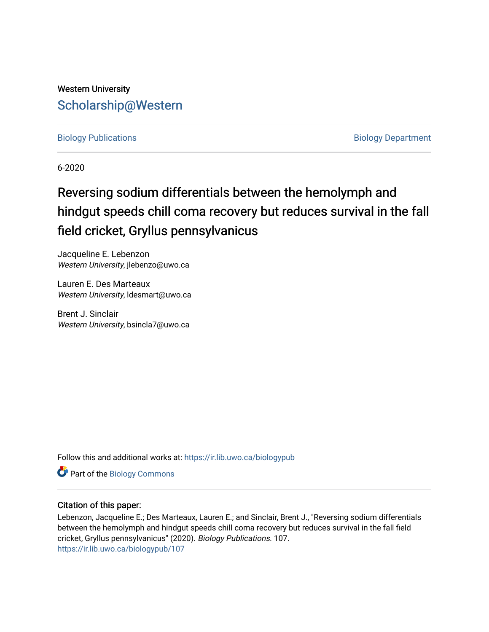# Western University [Scholarship@Western](https://ir.lib.uwo.ca/)

[Biology Publications](https://ir.lib.uwo.ca/biologypub) **Biology Department** 

6-2020

# Reversing sodium differentials between the hemolymph and hindgut speeds chill coma recovery but reduces survival in the fall field cricket, Gryllus pennsylvanicus

Jacqueline E. Lebenzon Western University, jlebenzo@uwo.ca

Lauren E. Des Marteaux Western University, Idesmart@uwo.ca

Brent J. Sinclair Western University, bsincla7@uwo.ca

Follow this and additional works at: [https://ir.lib.uwo.ca/biologypub](https://ir.lib.uwo.ca/biologypub?utm_source=ir.lib.uwo.ca%2Fbiologypub%2F107&utm_medium=PDF&utm_campaign=PDFCoverPages)

Part of the [Biology Commons](http://network.bepress.com/hgg/discipline/41?utm_source=ir.lib.uwo.ca%2Fbiologypub%2F107&utm_medium=PDF&utm_campaign=PDFCoverPages) 

# Citation of this paper:

Lebenzon, Jacqueline E.; Des Marteaux, Lauren E.; and Sinclair, Brent J., "Reversing sodium differentials between the hemolymph and hindgut speeds chill coma recovery but reduces survival in the fall field cricket, Gryllus pennsylvanicus" (2020). Biology Publications. 107. [https://ir.lib.uwo.ca/biologypub/107](https://ir.lib.uwo.ca/biologypub/107?utm_source=ir.lib.uwo.ca%2Fbiologypub%2F107&utm_medium=PDF&utm_campaign=PDFCoverPages)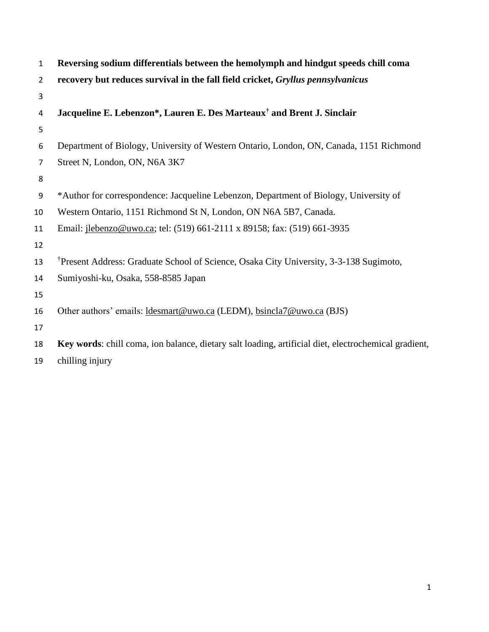| $\mathbf{1}$   | Reversing sodium differentials between the hemolymph and hindgut speeds chill coma                   |
|----------------|------------------------------------------------------------------------------------------------------|
| $\overline{2}$ | recovery but reduces survival in the fall field cricket, Gryllus pennsylvanicus                      |
| 3              |                                                                                                      |
| 4              | Jacqueline E. Lebenzon*, Lauren E. Des Marteaux <sup>†</sup> and Brent J. Sinclair                   |
| 5              |                                                                                                      |
| 6              | Department of Biology, University of Western Ontario, London, ON, Canada, 1151 Richmond              |
| 7              | Street N, London, ON, N6A 3K7                                                                        |
| 8              |                                                                                                      |
| 9              | *Author for correspondence: Jacqueline Lebenzon, Department of Biology, University of                |
| 10             | Western Ontario, 1151 Richmond St N, London, ON N6A 5B7, Canada.                                     |
| 11             | Email: <i>ilebenzo@uwo.ca</i> ; tel: (519) 661-2111 x 89158; fax: (519) 661-3935                     |
| 12             |                                                                                                      |
| 13             | <sup>†</sup> Present Address: Graduate School of Science, Osaka City University, 3-3-138 Sugimoto,   |
| 14             | Sumiyoshi-ku, Osaka, 558-8585 Japan                                                                  |
| 15             |                                                                                                      |
| 16             | Other authors' emails: ldesmart@uwo.ca (LEDM), bsincla7@uwo.ca (BJS)                                 |
| 17             |                                                                                                      |
| 18             | Key words: chill coma, ion balance, dietary salt loading, artificial diet, electrochemical gradient, |
|                |                                                                                                      |

chilling injury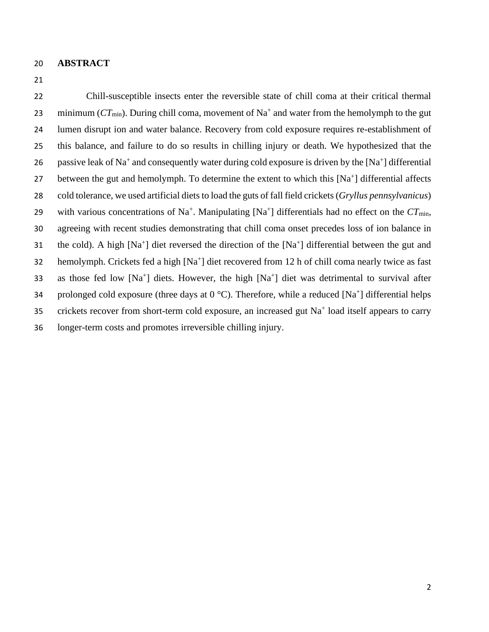#### 20 **ABSTRACT**

21

22 Chill-susceptible insects enter the reversible state of chill coma at their critical thermal 23 minimum ( $CT_{min}$ ). During chill coma, movement of Na<sup>+</sup> and water from the hemolymph to the gut 24 lumen disrupt ion and water balance. Recovery from cold exposure requires re-establishment of 25 this balance, and failure to do so results in chilling injury or death. We hypothesized that the 26 passive leak of Na<sup>+</sup> and consequently water during cold exposure is driven by the [Na<sup>+</sup>] differential 27 between the gut and hemolymph. To determine the extent to which this [Na<sup>+</sup>] differential affects 28 cold tolerance, we used artificial diets to load the guts of fall field crickets (*Gryllus pennsylvanicus*) 29 with various concentrations of Na<sup>+</sup>. Manipulating [Na<sup>+</sup>] differentials had no effect on the  $CT_{min}$ , 30 agreeing with recent studies demonstrating that chill coma onset precedes loss of ion balance in 31 the cold). A high  $[Na^+]$  diet reversed the direction of the  $[Na^+]$  differential between the gut and 32 hemolymph. Crickets fed a high [Na<sup>+</sup>] diet recovered from 12 h of chill coma nearly twice as fast 33 as those fed low  $[Na^+]$  diets. However, the high  $[Na^+]$  diet was detrimental to survival after 34 prolonged cold exposure (three days at  $0^{\circ}$ C). Therefore, while a reduced [Na<sup>+</sup>] differential helps 35 crickets recover from short-term cold exposure, an increased gut Na<sup>+</sup> load itself appears to carry 36 longer-term costs and promotes irreversible chilling injury.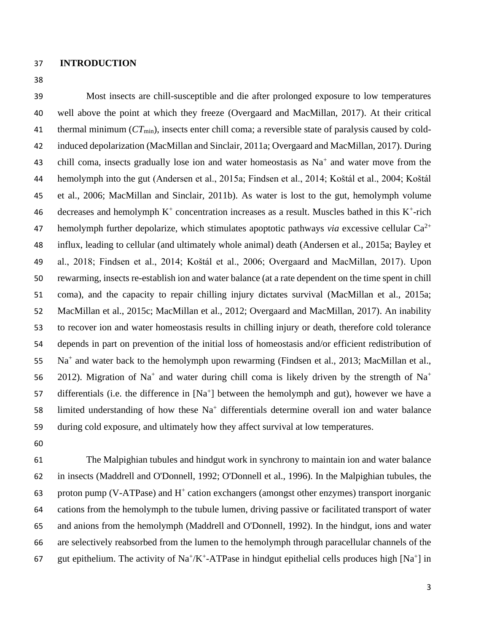- **INTRODUCTION**
- 

 Most insects are chill-susceptible and die after prolonged exposure to low temperatures well above the point at which they freeze (Overgaard and MacMillan, 2017). At their critical thermal minimum (*CT*min), insects enter chill coma; a reversible state of paralysis caused by cold- induced depolarization (MacMillan and Sinclair, 2011a; Overgaard and MacMillan, 2017). During 43 chill coma, insects gradually lose ion and water homeostasis as  $Na<sup>+</sup>$  and water move from the hemolymph into the gut (Andersen et al., 2015a; Findsen et al., 2014; Koštál et al., 2004; Koštál et al., 2006; MacMillan and Sinclair, 2011b). As water is lost to the gut, hemolymph volume 46 decreases and hemolymph  $K^+$  concentration increases as a result. Muscles bathed in this  $K^+$ -rich 47 hemolymph further depolarize, which stimulates apoptotic pathways *via* excessive cellular  $Ca^{2+}$  influx, leading to cellular (and ultimately whole animal) death (Andersen et al., 2015a; Bayley et al., 2018; Findsen et al., 2014; Koštál et al., 2006; Overgaard and MacMillan, 2017). Upon rewarming, insects re-establish ion and water balance (at a rate dependent on the time spent in chill coma), and the capacity to repair chilling injury dictates survival (MacMillan et al., 2015a; MacMillan et al., 2015c; MacMillan et al., 2012; Overgaard and MacMillan, 2017). An inability to recover ion and water homeostasis results in chilling injury or death, therefore cold tolerance depends in part on prevention of the initial loss of homeostasis and/or efficient redistribution of 55 Na<sup>+</sup> and water back to the hemolymph upon rewarming (Findsen et al., 2013; MacMillan et al., 2012). Migration of Na<sup>+</sup> and water during chill coma is likely driven by the strength of Na<sup>+</sup> 57 differentials (i.e. the difference in  $[Na<sup>+</sup>]$  between the hemolymph and gut), however we have a 58 limited understanding of how these  $Na<sup>+</sup>$  differentials determine overall ion and water balance during cold exposure, and ultimately how they affect survival at low temperatures.

 The Malpighian tubules and hindgut work in synchrony to maintain ion and water balance in insects (Maddrell and O'Donnell, 1992; O'Donnell et al., 1996). In the Malpighian tubules, the 63 proton pump (V-ATPase) and  $H^+$  cation exchangers (amongst other enzymes) transport inorganic cations from the hemolymph to the tubule lumen, driving passive or facilitated transport of water and anions from the hemolymph (Maddrell and O'Donnell, 1992). In the hindgut, ions and water are selectively reabsorbed from the lumen to the hemolymph through paracellular channels of the 67 gut epithelium. The activity of Na<sup>+</sup>/K<sup>+</sup>-ATPase in hindgut epithelial cells produces high [Na<sup>+</sup>] in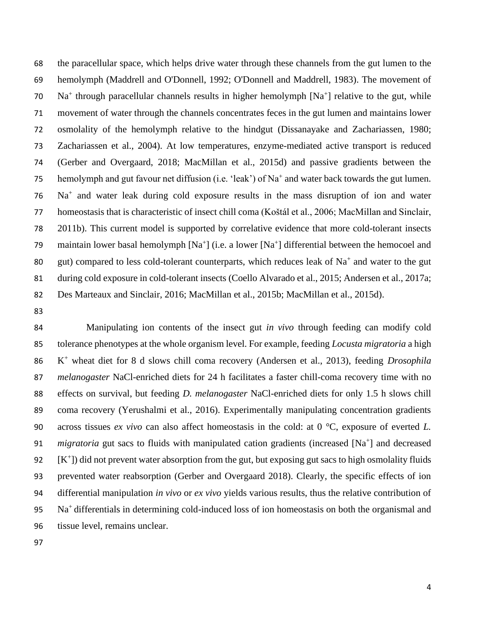the paracellular space, which helps drive water through these channels from the gut lumen to the hemolymph (Maddrell and O'Donnell, 1992; O'Donnell and Maddrell, 1983). The movement of 70 Na<sup>+</sup> through paracellular channels results in higher hemolymph  $[Na<sup>+</sup>]$  relative to the gut, while movement of water through the channels concentrates feces in the gut lumen and maintains lower osmolality of the hemolymph relative to the hindgut (Dissanayake and Zachariassen, 1980; Zachariassen et al., 2004). At low temperatures, enzyme-mediated active transport is reduced (Gerber and Overgaard, 2018; MacMillan et al., 2015d) and passive gradients between the 75 hemolymph and gut favour net diffusion (i.e. 'leak') of Na<sup>+</sup> and water back towards the gut lumen. 76 Na<sup>+</sup> and water leak during cold exposure results in the mass disruption of ion and water homeostasis that is characteristic of insect chill coma (Koštál et al., 2006; MacMillan and Sinclair, 2011b). This current model is supported by correlative evidence that more cold-tolerant insects 79 maintain lower basal hemolymph  $[Na^+]$  (i.e. a lower  $[Na^+]$  differential between the hemocoel and 80 gut) compared to less cold-tolerant counterparts, which reduces leak of  $Na<sup>+</sup>$  and water to the gut during cold exposure in cold-tolerant insects (Coello Alvarado et al., 2015; Andersen et al., 2017a; Des Marteaux and Sinclair, 2016; MacMillan et al., 2015b; MacMillan et al., 2015d).

 Manipulating ion contents of the insect gut *in vivo* through feeding can modify cold tolerance phenotypes at the whole organism level. For example, feeding *Locusta migratoria* a high K + wheat diet for 8 d slows chill coma recovery (Andersen et al., 2013), feeding *Drosophila melanogaster* NaCl-enriched diets for 24 h facilitates a faster chill-coma recovery time with no effects on survival, but feeding *D. melanogaster* NaCl-enriched diets for only 1.5 h slows chill coma recovery (Yerushalmi et al., 2016). Experimentally manipulating concentration gradients across tissues *ex vivo* can also affect homeostasis in the cold: at 0 °C, exposure of everted *L. migratoria* gut sacs to fluids with manipulated cation gradients (increased [Na<sup>+</sup>] and decreased  $[**K**^+]$ ) did not prevent water absorption from the gut, but exposing gut sacs to high osmolality fluids prevented water reabsorption (Gerber and Overgaard 2018). Clearly, the specific effects of ion differential manipulation *in vivo* or *ex vivo* yields various results, thus the relative contribution of 95 Na<sup>+</sup> differentials in determining cold-induced loss of ion homeostasis on both the organismal and tissue level, remains unclear.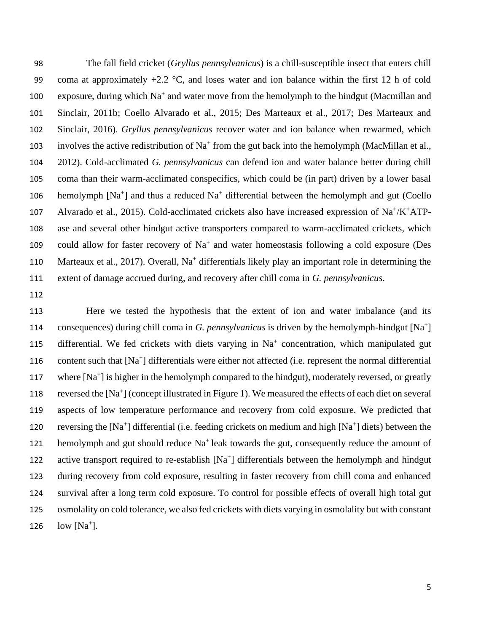98 The fall field cricket (*Gryllus pennsylvanicus*) is a chill-susceptible insect that enters chill 99 coma at approximately  $+2.2$  °C, and loses water and ion balance within the first 12 h of cold 100 exposure, during which  $Na^+$  and water move from the hemolymph to the hindgut (Macmillan and 101 Sinclair, 2011b; Coello Alvarado et al., 2015; Des Marteaux et al., 2017; Des Marteaux and 102 Sinclair, 2016). *Gryllus pennsylvanicus* recover water and ion balance when rewarmed, which 103 involves the active redistribution of  $Na^+$  from the gut back into the hemolymph (MacMillan et al., 104 2012). Cold-acclimated *G. pennsylvanicus* can defend ion and water balance better during chill 105 coma than their warm-acclimated conspecifics, which could be (in part) driven by a lower basal 106 hemolymph  $[Na^+]$  and thus a reduced  $Na^+$  differential between the hemolymph and gut (Coello 107 Alvarado et al., 2015). Cold-acclimated crickets also have increased expression of Na<sup>+</sup>/K<sup>+</sup>ATP-108 ase and several other hindgut active transporters compared to warm-acclimated crickets, which 109 could allow for faster recovery of Na<sup>+</sup> and water homeostasis following a cold exposure (Des 110 Marteaux et al., 2017). Overall, Na<sup>+</sup> differentials likely play an important role in determining the 111 extent of damage accrued during, and recovery after chill coma in *G. pennsylvanicus*.

112

113 Here we tested the hypothesis that the extent of ion and water imbalance (and its 114 consequences) during chill coma in *G. pennsylvanicus* is driven by the hemolymph-hindgut [Na<sup>+</sup>] 115 differential. We fed crickets with diets varying in Na<sup>+</sup> concentration, which manipulated gut 116 content such that  $[Na^+]$  differentials were either not affected (i.e. represent the normal differential 117 where [Na<sup>+</sup>] is higher in the hemolymph compared to the hindgut), moderately reversed, or greatly 118 reversed the [Na<sup>+</sup>] (concept illustrated in Figure 1). We measured the effects of each diet on several 119 aspects of low temperature performance and recovery from cold exposure. We predicted that 120 reversing the  $[Na^+]$  differential (i.e. feeding crickets on medium and high  $[Na^+]$  diets) between the 121 hemolymph and gut should reduce  $Na<sup>+</sup>$  leak towards the gut, consequently reduce the amount of 122 active transport required to re-establish [Na<sup>+</sup>] differentials between the hemolymph and hindgut 123 during recovery from cold exposure, resulting in faster recovery from chill coma and enhanced 124 survival after a long term cold exposure. To control for possible effects of overall high total gut 125 osmolality on cold tolerance, we also fed crickets with diets varying in osmolality but with constant 126  $\;$  low [Na<sup>+</sup>].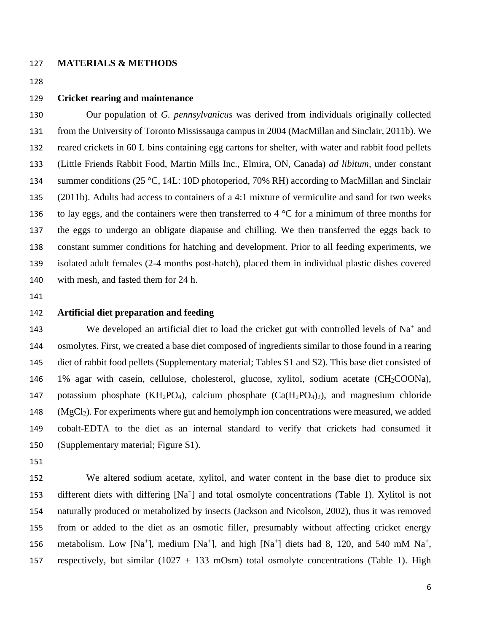#### **MATERIALS & METHODS**

## **Cricket rearing and maintenance**

 Our population of *G. pennsylvanicus* was derived from individuals originally collected from the University of Toronto Mississauga campus in 2004 (MacMillan and Sinclair, 2011b). We reared crickets in 60 L bins containing egg cartons for shelter, with water and rabbit food pellets (Little Friends Rabbit Food, Martin Mills Inc., Elmira, ON, Canada) *ad libitum,* under constant summer conditions (25 °C, 14L: 10D photoperiod, 70% RH) according to MacMillan and Sinclair (2011b). Adults had access to containers of a 4:1 mixture of vermiculite and sand for two weeks 136 to lay eggs, and the containers were then transferred to 4  $\degree$ C for a minimum of three months for the eggs to undergo an obligate diapause and chilling. We then transferred the eggs back to constant summer conditions for hatching and development. Prior to all feeding experiments, we isolated adult females (2-4 months post-hatch), placed them in individual plastic dishes covered with mesh, and fasted them for 24 h.

# **Artificial diet preparation and feeding**

143 We developed an artificial diet to load the cricket gut with controlled levels of  $Na<sup>+</sup>$  and osmolytes. First, we created a base diet composed of ingredients similar to those found in a rearing diet of rabbit food pellets (Supplementary material; Tables S1 and S2). This base diet consisted of 146 1% agar with casein, cellulose, cholesterol, glucose, xylitol, sodium acetate (CH<sub>2</sub>COONa), 147 potassium phosphate (KH<sub>2</sub>PO<sub>4</sub>), calcium phosphate (Ca(H<sub>2</sub>PO<sub>4</sub>)<sub>2</sub>), and magnesium chloride (MgCl2). For experiments where gut and hemolymph ion concentrations were measured, we added cobalt-EDTA to the diet as an internal standard to verify that crickets had consumed it (Supplementary material; Figure S1).

 We altered sodium acetate, xylitol, and water content in the base diet to produce six 153 different diets with differing [Na<sup>+</sup>] and total osmolyte concentrations (Table 1). Xylitol is not naturally produced or metabolized by insects (Jackson and Nicolson, 2002), thus it was removed from or added to the diet as an osmotic filler, presumably without affecting cricket energy 156 metabolism. Low [Na<sup>+</sup>], medium [Na<sup>+</sup>], and high [Na<sup>+</sup>] diets had 8, 120, and 540 mM Na<sup>+</sup>, 157 respectively, but similar (1027  $\pm$  133 mOsm) total osmolyte concentrations (Table 1). High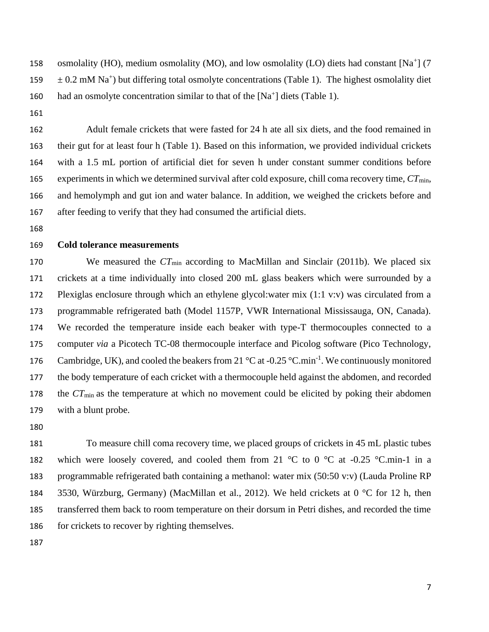158 osmolality (HO), medium osmolality (MO), and low osmolality (LO) diets had constant [Na<sup>+</sup>] (7  $\pm 0.2$  mM Na<sup>+</sup>) but differing total osmolyte concentrations (Table 1). The highest osmolality diet 160 had an osmolyte concentration similar to that of the  $[Na^+]$  diets (Table 1).

 Adult female crickets that were fasted for 24 h ate all six diets, and the food remained in their gut for at least four h (Table 1). Based on this information, we provided individual crickets with a 1.5 mL portion of artificial diet for seven h under constant summer conditions before experiments in which we determined survival after cold exposure, chill coma recovery time, *CT*min, and hemolymph and gut ion and water balance. In addition, we weighed the crickets before and after feeding to verify that they had consumed the artificial diets.

#### **Cold tolerance measurements**

170 We measured the *CT*<sub>min</sub> according to MacMillan and Sinclair (2011b). We placed six crickets at a time individually into closed 200 mL glass beakers which were surrounded by a Plexiglas enclosure through which an ethylene glycol:water mix (1:1 v:v) was circulated from a programmable refrigerated bath (Model 1157P, VWR International Mississauga, ON, Canada). We recorded the temperature inside each beaker with type-T thermocouples connected to a computer *via* a Picotech TC-08 thermocouple interface and Picolog software (Pico Technology, 176 Cambridge, UK), and cooled the beakers from 21 °C at -0.25 °C.min<sup>-1</sup>. We continuously monitored the body temperature of each cricket with a thermocouple held against the abdomen, and recorded the *CT*min as the temperature at which no movement could be elicited by poking their abdomen with a blunt probe.

 To measure chill coma recovery time, we placed groups of crickets in 45 mL plastic tubes 182 which were loosely covered, and cooled them from 21  $^{\circ}$ C to 0  $^{\circ}$ C at -0.25  $^{\circ}$ C.min-1 in a programmable refrigerated bath containing a methanol: water mix (50:50 v:v) (Lauda Proline RP 3530, Würzburg, Germany) (MacMillan et al., 2012). We held crickets at 0 °C for 12 h, then transferred them back to room temperature on their dorsum in Petri dishes, and recorded the time 186 for crickets to recover by righting themselves.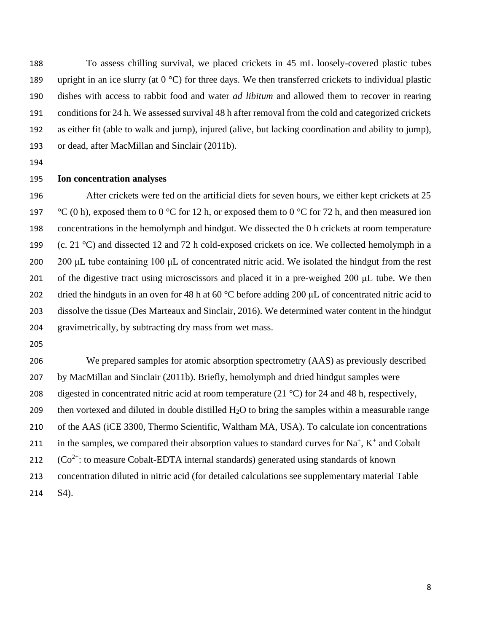To assess chilling survival, we placed crickets in 45 mL loosely-covered plastic tubes 189 upright in an ice slurry (at  $0^{\circ}$ C) for three days. We then transferred crickets to individual plastic dishes with access to rabbit food and water *ad libitum* and allowed them to recover in rearing conditions for 24 h. We assessed survival 48 h after removal from the cold and categorized crickets as either fit (able to walk and jump), injured (alive, but lacking coordination and ability to jump), or dead, after MacMillan and Sinclair (2011b).

## **Ion concentration analyses**

196 After crickets were fed on the artificial diets for seven hours, we either kept crickets at 25 197 °C (0 h), exposed them to 0 °C for 12 h, or exposed them to 0 °C for 72 h, and then measured ion concentrations in the hemolymph and hindgut. We dissected the 0 h crickets at room temperature 199 (c. 21  $^{\circ}$ C) and dissected 12 and 72 h cold-exposed crickets on ice. We collected hemolymph in a 200 μL tube containing 100 μL of concentrated nitric acid. We isolated the hindgut from the rest of the digestive tract using microscissors and placed it in a pre-weighed 200 μL tube. We then dried the hindguts in an oven for 48 h at 60 °C before adding 200 μL of concentrated nitric acid to dissolve the tissue (Des Marteaux and Sinclair, 2016). We determined water content in the hindgut gravimetrically, by subtracting dry mass from wet mass.

 We prepared samples for atomic absorption spectrometry (AAS) as previously described by MacMillan and Sinclair (2011b). Briefly, hemolymph and dried hindgut samples were 208 digested in concentrated nitric acid at room temperature (21  $^{\circ}$ C) for 24 and 48 h, respectively, 209 then vortexed and diluted in double distilled  $H_2O$  to bring the samples within a measurable range of the AAS (iCE 3300, Thermo Scientific, Waltham MA, USA). To calculate ion concentrations 211 in the samples, we compared their absorption values to standard curves for  $Na^+$ ,  $K^+$  and Cobalt 212  $(Co^{2+}$ : to measure Cobalt-EDTA internal standards) generated using standards of known concentration diluted in nitric acid (for detailed calculations see supplementary material Table S4).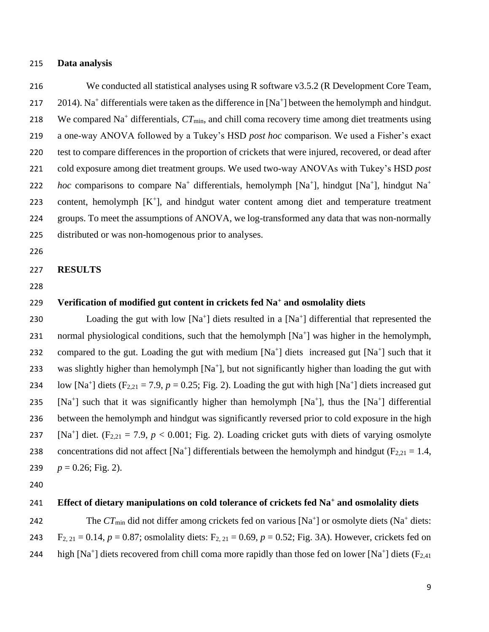## 215 **Data analysis**

216 We conducted all statistical analyses using R software v3.5.2 (R Development Core Team, 217  $2014$ ). Na<sup>+</sup> differentials were taken as the difference in [Na<sup>+</sup>] between the hemolymph and hindgut. 218 We compared Na<sup>+</sup> differentials,  $CT_{min}$ , and chill coma recovery time among diet treatments using 219 a one-way ANOVA followed by a Tukey's HSD *post hoc* comparison. We used a Fisher's exact 220 test to compare differences in the proportion of crickets that were injured, recovered, or dead after 221 cold exposure among diet treatment groups. We used two-way ANOVAs with Tukey's HSD *post hoc* comparisons to compare Na<sup>+</sup> differentials, hemolymph [Na<sup>+</sup>], hindgut [Na<sup>+</sup>], hindgut Na<sup>+</sup> 222 223 content, hemolymph  $[K^+]$ , and hindgut water content among diet and temperature treatment 224 groups. To meet the assumptions of ANOVA, we log-transformed any data that was non-normally 225 distributed or was non-homogenous prior to analyses.

226

#### 227 **RESULTS**

228

# 229 Verification of modified gut content in crickets fed Na<sup>+</sup> and osmolality diets

230 Loading the gut with low  $[Na^+]$  diets resulted in a  $[Na^+]$  differential that represented the 231 normal physiological conditions, such that the hemolymph [Na<sup>+</sup>] was higher in the hemolymph, 232 compared to the gut. Loading the gut with medium  $[Na^+]$  diets increased gut  $[Na^+]$  such that it 233 was slightly higher than hemolymph  $[Na^+]$ , but not significantly higher than loading the gut with 234 low [Na<sup>+</sup>] diets (F<sub>2,21</sub> = 7.9,  $p = 0.25$ ; Fig. 2). Loading the gut with high [Na<sup>+</sup>] diets increased gut 235 [Na<sup>+</sup>] such that it was significantly higher than hemolymph [Na<sup>+</sup>], thus the [Na<sup>+</sup>] differential 236 between the hemolymph and hindgut was significantly reversed prior to cold exposure in the high 237 [Na<sup>+</sup>] diet. (F<sub>2,21</sub> = 7.9,  $p < 0.001$ ; Fig. 2). Loading cricket guts with diets of varying osmolyte 238 concentrations did not affect [Na<sup>+</sup>] differentials between the hemolymph and hindgut ( $F_{2,21} = 1.4$ , 239  $p = 0.26$ ; Fig. 2).

240

#### **Effect of dietary manipulations on cold tolerance of crickets fed Na<sup>+</sup>** 241 **and osmolality diets**

242 The  $CT_{min}$  did not differ among crickets fed on various  $[Na^+]$  or osmolyte diets  $(Na^+$  diets: 243 F<sub>2, 21</sub> = 0.14,  $p = 0.87$ ; osmolality diets: F<sub>2, 21</sub> = 0.69,  $p = 0.52$ ; Fig. 3A). However, crickets fed on 244 high [Na<sup>+</sup>] diets recovered from chill coma more rapidly than those fed on lower [Na<sup>+</sup>] diets (F<sub>2,41</sub>)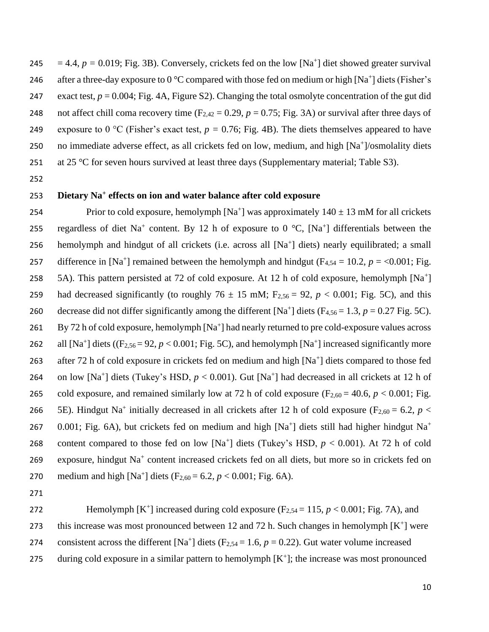245  $= 4.4, p = 0.019$ ; Fig. 3B). Conversely, crickets fed on the low [Na<sup>+</sup>] diet showed greater survival 246 after a three-day exposure to  $0^{\circ}$ C compared with those fed on medium or high [Na<sup>+</sup>] diets (Fisher's 247 exact test,  $p = 0.004$ ; Fig. 4A, Figure S2). Changing the total osmolyte concentration of the gut did 248 not affect chill coma recovery time  $(F_{2,42} = 0.29, p = 0.75; Fig. 3A)$  or survival after three days of 249 exposure to 0 °C (Fisher's exact test,  $p = 0.76$ ; Fig. 4B). The diets themselves appeared to have 250 no immediate adverse effect, as all crickets fed on low, medium, and high [Na<sup>+</sup>]/osmolality diets 251 at 25  $\degree$ C for seven hours survived at least three days (Supplementary material; Table S3).

252

# **Dietary Na<sup>+</sup>** 253 **effects on ion and water balance after cold exposure**

254 Prior to cold exposure, hemolymph  $[Na^+]$  was approximately  $140 \pm 13$  mM for all crickets 255 regardless of diet Na<sup>+</sup> content. By 12 h of exposure to 0  $^{\circ}C$ , [Na<sup>+</sup>] differentials between the 256 hemolymph and hindgut of all crickets (i.e. across all [Na<sup>+</sup>] diets) nearly equilibrated; a small 257 difference in [Na<sup>+</sup>] remained between the hemolymph and hindgut ( $F_{4,54} = 10.2$ ,  $p = <0.001$ ; Fig. 258 5A). This pattern persisted at 72 of cold exposure. At 12 h of cold exposure, hemolymph [Na<sup>+</sup>] 259 had decreased significantly (to roughly  $76 \pm 15$  mM;  $F_{2,56} = 92$ ,  $p < 0.001$ ; Fig. 5C), and this 260 decrease did not differ significantly among the different [Na<sup>+</sup>] diets  $(F_{4,56} = 1.3, p = 0.27$  Fig. 5C). 261 By 72 h of cold exposure, hemolymph [Na<sup>+</sup>] had nearly returned to pre cold-exposure values across 262 all  $[Na^+]$  diets ( $(F_{2,56} = 92, p < 0.001$ ; Fig. 5C), and hemolymph  $[Na^+]$  increased significantly more 263 after 72 h of cold exposure in crickets fed on medium and high  $[Na^+]$  diets compared to those fed 264 on low [Na<sup>+</sup>] diets (Tukey's HSD,  $p < 0.001$ ). Gut [Na<sup>+</sup>] had decreased in all crickets at 12 h of 265 cold exposure, and remained similarly low at 72 h of cold exposure  $(F_{2,60} = 40.6, p < 0.001;$  Fig. 266 5E). Hindgut Na<sup>+</sup> initially decreased in all crickets after 12 h of cold exposure (F<sub>2,60</sub> = 6.2, *p* < 0.001; Fig. 6A), but crickets fed on medium and high [Na<sup>+</sup>] diets still had higher hindgut Na<sup>+</sup> 267 268 content compared to those fed on low  $[Na^+]$  diets (Tukey's HSD,  $p < 0.001$ ). At 72 h of cold 269 exposure, hindgut Na<sup>+</sup> content increased crickets fed on all diets, but more so in crickets fed on 270 medium and high  $[Na^+]$  diets  $(F_{2,60} = 6.2, p < 0.001;$  Fig. 6A).

271

272 Hemolymph  $[K^+]$  increased during cold exposure  $(F_{2,54} = 115, p < 0.001;$  Fig. 7A), and 273 this increase was most pronounced between 12 and 72 h. Such changes in hemolymph  $[K^+]$  were 274 consistent across the different [Na<sup>+</sup>] diets (F<sub>2,54</sub> = 1.6,  $p = 0.22$ ). Gut water volume increased 275 during cold exposure in a similar pattern to hemolymph  $[K^+]$ ; the increase was most pronounced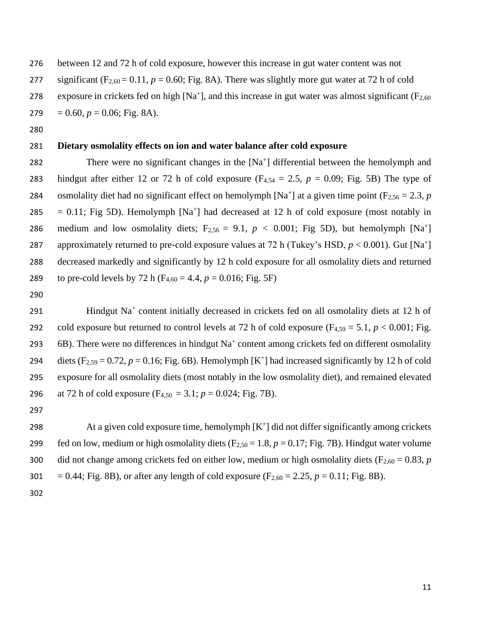276 between 12 and 72 h of cold exposure, however this increase in gut water content was not 277 significant  $(F_{2,60} = 0.11, p = 0.60;$  Fig. 8A). There was slightly more gut water at 72 h of cold 278 exposure in crickets fed on high [Na<sup>+</sup>], and this increase in gut water was almost significant ( $F_{2,60}$ ) 279  $= 0.60, p = 0.06$ ; Fig. 8A).

280

# 281 **Dietary osmolality effects on ion and water balance after cold exposure**

282 There were no significant changes in the  $[Na^+]$  differential between the hemolymph and 283 hindgut after either 12 or 72 h of cold exposure  $(F_{4,54} = 2.5, p = 0.09; Fig. 5B)$  The type of 284 osmolality diet had no significant effect on hemolymph  $[Na^+]$  at a given time point ( $F_{2,56} = 2.3$ , *p* 285 = 0.11; Fig 5D). Hemolymph  $[Na^+]$  had decreased at 12 h of cold exposure (most notably in 286 medium and low osmolality diets;  $F_{2,56} = 9.1$ ,  $p < 0.001$ ; Fig 5D), but hemolymph [Na<sup>+</sup>] 287 approximately returned to pre-cold exposure values at 72 h (Tukey's HSD,  $p < 0.001$ ). Gut [Na<sup>+</sup>] 288 decreased markedly and significantly by 12 h cold exposure for all osmolality diets and returned 289 to pre-cold levels by 72 h ( $F_{4,60} = 4.4$ ,  $p = 0.016$ ; Fig. 5F)

290

291 Hindgut Na<sup>+</sup> content initially decreased in crickets fed on all osmolality diets at 12 h of 292 cold exposure but returned to control levels at 72 h of cold exposure  $(F_{4,59} = 5.1, p < 0.001; Fig.$ 293 6B). There were no differences in hindgut  $Na<sup>+</sup>$  content among crickets fed on different osmolality 294 diets  $(F_{2,59} = 0.72, p = 0.16; Fig. 6B)$ . Hemolymph  $[K^+]$  had increased significantly by 12 h of cold 295 exposure for all osmolality diets (most notably in the low osmolality diet), and remained elevated 296 at 72 h of cold exposure  $(F_{4,50} = 3.1; p = 0.024; Fig. 7B)$ .

297

298  $\blacksquare$  At a given cold exposure time, hemolymph  $[K^+]$  did not differ significantly among crickets 299 fed on low, medium or high osmolality diets  $(F_{2,50} = 1.8, p = 0.17; Fig. 7B)$ . Hindgut water volume 300 did not change among crickets fed on either low, medium or high osmolality diets ( $F_{2,60} = 0.83$ , *p* 301 = 0.44; Fig. 8B), or after any length of cold exposure  $(F_{2,60} = 2.25, p = 0.11; Fig. 8B)$ .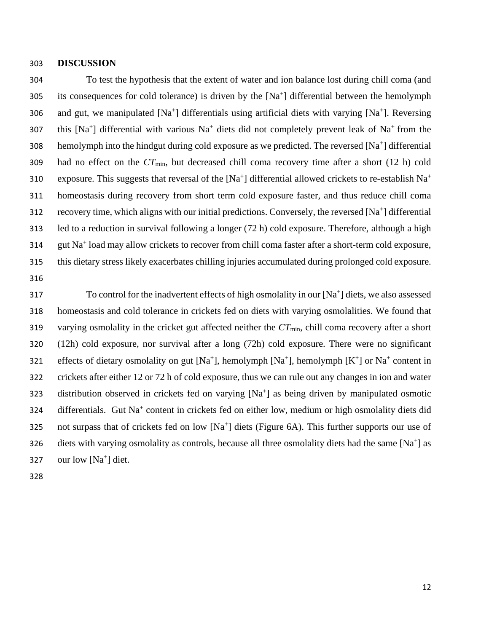#### 303 **DISCUSSION**

304 To test the hypothesis that the extent of water and ion balance lost during chill coma (and 305 its consequences for cold tolerance) is driven by the  $[Na^+]$  differential between the hemolymph 306 and gut, we manipulated  $[Na^+]$  differentials using artificial diets with varying  $[Na^+]$ . Reversing 307 this [Na<sup>+</sup>] differential with various Na<sup>+</sup> diets did not completely prevent leak of Na<sup>+</sup> from the 308 hemolymph into the hindgut during cold exposure as we predicted. The reversed  $[Na^+]$  differential 309 had no effect on the  $CT_{min}$ , but decreased chill coma recovery time after a short (12 h) cold exposure. This suggests that reversal of the  $[Na^+]$  differential allowed crickets to re-establish  $Na^+$ 310 311 homeostasis during recovery from short term cold exposure faster, and thus reduce chill coma 312 recovery time, which aligns with our initial predictions. Conversely, the reversed  $[Na^+]$  differential 313 led to a reduction in survival following a longer (72 h) cold exposure. Therefore, although a high 314 gut Na<sup>+</sup> load may allow crickets to recover from chill coma faster after a short-term cold exposure, 315 this dietary stress likely exacerbates chilling injuries accumulated during prolonged cold exposure.

316

317 To control for the inadvertent effects of high osmolality in our [Na<sup>+</sup>] diets, we also assessed 318 homeostasis and cold tolerance in crickets fed on diets with varying osmolalities. We found that 319 varying osmolality in the cricket gut affected neither the  $CT_{min}$ , chill coma recovery after a short 320 (12h) cold exposure, nor survival after a long (72h) cold exposure. There were no significant 321 effects of dietary osmolality on gut [Na<sup>+</sup>], hemolymph [Na<sup>+</sup>], hemolymph [K<sup>+</sup>] or Na<sup>+</sup> content in 322 crickets after either 12 or 72 h of cold exposure, thus we can rule out any changes in ion and water 323 distribution observed in crickets fed on varying  $[Na^+]$  as being driven by manipulated osmotic 324 differentials. Gut Na<sup>+</sup> content in crickets fed on either low, medium or high osmolality diets did 325 not surpass that of crickets fed on low  $[Na^+]$  diets (Figure 6A). This further supports our use of 326 diets with varying osmolality as controls, because all three osmolality diets had the same  $[Na^+]$  as 327 our low  $[Na^+]$  diet.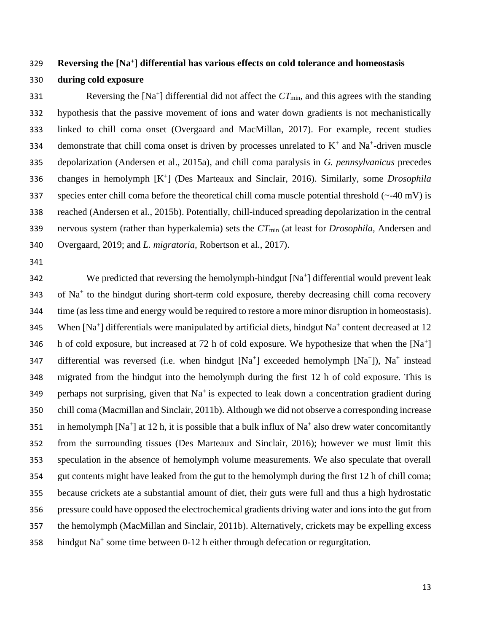# **Reversing the [Na<sup>+</sup> ] differential has various effects on cold tolerance and homeostasis during cold exposure**

331 Reversing the  $[Na^+]$  differential did not affect the  $CT_{min}$ , and this agrees with the standing hypothesis that the passive movement of ions and water down gradients is not mechanistically linked to chill coma onset (Overgaard and MacMillan, 2017). For example, recent studies 334 demonstrate that chill coma onset is driven by processes unrelated to  $K^+$  and  $Na^+$ -driven muscle depolarization (Andersen et al., 2015a), and chill coma paralysis in *G. pennsylvanicus* precedes 336 changes in hemolymph [K<sup>+</sup>] (Des Marteaux and Sinclair, 2016). Similarly, some *Drosophila* 337 species enter chill coma before the theoretical chill coma muscle potential threshold  $\left(\sim -40 \text{ mV}\right)$  is reached (Andersen et al., 2015b). Potentially, chill-induced spreading depolarization in the central nervous system (rather than hyperkalemia) sets the *CT*min (at least for *Drosophila,* Andersen and Overgaard, 2019; and *L. migratoria,* Robertson et al., 2017).

342 We predicted that reversing the hemolymph-hindgut  $[Na^+]$  differential would prevent leak 343 of Na<sup>+</sup> to the hindgut during short-term cold exposure, thereby decreasing chill coma recovery time (as less time and energy would be required to restore a more minor disruption in homeostasis). 345 When  $[Na^+]$  differentials were manipulated by artificial diets, hindgut  $Na^+$  content decreased at 12 346 h of cold exposure, but increased at 72 h of cold exposure. We hypothesize that when the  $[Na^+]$ 347 differential was reversed (i.e. when hindgut  $[Na^+]$  exceeded hemolymph  $[Na^+]$ ),  $Na^+$  instead migrated from the hindgut into the hemolymph during the first 12 h of cold exposure. This is 349 perhaps not surprising, given that  $Na<sup>+</sup>$  is expected to leak down a concentration gradient during chill coma (Macmillan and Sinclair, 2011b). Although we did not observe a corresponding increase 351 in hemolymph [Na<sup>+</sup>] at 12 h, it is possible that a bulk influx of Na<sup>+</sup> also drew water concomitantly from the surrounding tissues (Des Marteaux and Sinclair, 2016); however we must limit this speculation in the absence of hemolymph volume measurements. We also speculate that overall gut contents might have leaked from the gut to the hemolymph during the first 12 h of chill coma; because crickets ate a substantial amount of diet, their guts were full and thus a high hydrostatic pressure could have opposed the electrochemical gradients driving water and ions into the gut from the hemolymph (MacMillan and Sinclair, 2011b). Alternatively, crickets may be expelling excess 358 hindgut  $Na^+$  some time between 0-12 h either through defecation or regurgitation.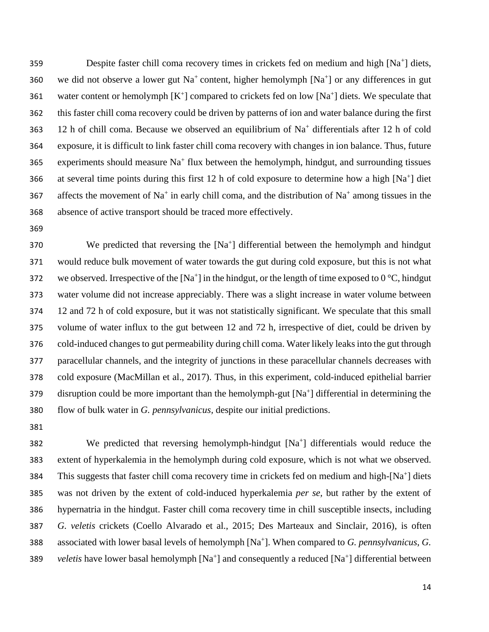359 Despite faster chill coma recovery times in crickets fed on medium and high [Na<sup>+</sup>] diets, 360 we did not observe a lower gut Na<sup>+</sup> content, higher hemolymph  $[Na<sup>+</sup>]$  or any differences in gut 361 water content or hemolymph  $[K^+]$  compared to crickets fed on low  $[Na^+]$  diets. We speculate that 362 this faster chill coma recovery could be driven by patterns of ion and water balance during the first 363 12 h of chill coma. Because we observed an equilibrium of  $Na<sup>+</sup>$  differentials after 12 h of cold 364 exposure, it is difficult to link faster chill coma recovery with changes in ion balance. Thus, future 365 experiments should measure  $Na<sup>+</sup>$  flux between the hemolymph, hindgut, and surrounding tissues 366 at several time points during this first 12 h of cold exposure to determine how a high  $[Na^+]$  diet 367 affects the movement of Na<sup>+</sup> in early chill coma, and the distribution of Na<sup>+</sup> among tissues in the 368 absence of active transport should be traced more effectively.

369

 We predicted that reversing the [Na<sup>+</sup>] differential between the hemolymph and hindgut would reduce bulk movement of water towards the gut during cold exposure, but this is not what 372 we observed. Irrespective of the [Na<sup>+</sup>] in the hindgut, or the length of time exposed to  $0^{\circ}$ C, hindgut water volume did not increase appreciably. There was a slight increase in water volume between 12 and 72 h of cold exposure, but it was not statistically significant. We speculate that this small volume of water influx to the gut between 12 and 72 h, irrespective of diet, could be driven by cold-induced changes to gut permeability during chill coma. Water likely leaks into the gut through paracellular channels, and the integrity of junctions in these paracellular channels decreases with cold exposure (MacMillan et al., 2017). Thus, in this experiment, cold-induced epithelial barrier 379 disruption could be more important than the hemolymph-gut  $[Na^+]$  differential in determining the flow of bulk water in *G. pennsylvanicus,* despite our initial predictions.

381

382 We predicted that reversing hemolymph-hindgut  $[Na^+]$  differentials would reduce the 383 extent of hyperkalemia in the hemolymph during cold exposure, which is not what we observed. 384 This suggests that faster chill coma recovery time in crickets fed on medium and high-[Na<sup>+</sup>] diets 385 was not driven by the extent of cold-induced hyperkalemia *per se,* but rather by the extent of 386 hypernatria in the hindgut. Faster chill coma recovery time in chill susceptible insects, including 387 *G. veletis* crickets (Coello Alvarado et al., 2015; Des Marteaux and Sinclair, 2016), is often associated with lower basal levels of hemolymph [Na<sup>+</sup>]. When compared to *G. pennsylvanicus*, *G.* 389 veletis have lower basal hemolymph [Na<sup>+</sup>] and consequently a reduced [Na<sup>+</sup>] differential between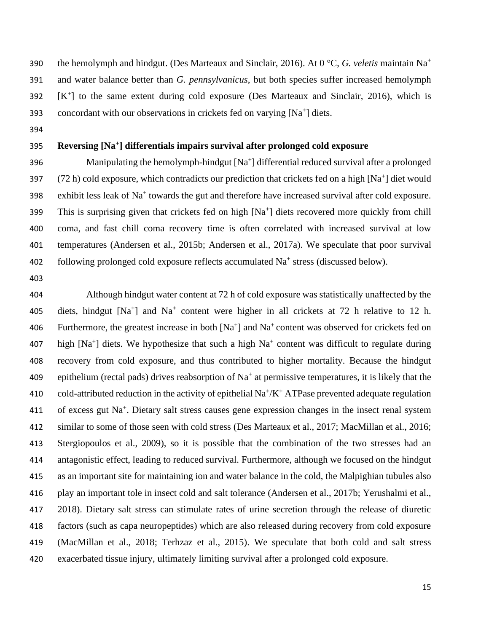the hemolymph and hindgut. (Des Marteaux and Sinclair, 2016). At 0 °C, *G. veletis* maintain Na<sup>+</sup> and water balance better than *G. pennsylvanicus*, but both species suffer increased hemolymph  $[K^+]$  to the same extent during cold exposure (Des Marteaux and Sinclair, 2016), which is 393 concordant with our observations in crickets fed on varying  $[Na^+]$  diets.

## **Reversing [Na<sup>+</sup> ] differentials impairs survival after prolonged cold exposure**

396 Manipulating the hemolymph-hindgut  $[Na^+]$  differential reduced survival after a prolonged 397  $(72 h)$  cold exposure, which contradicts our prediction that crickets fed on a high [Na<sup>+</sup>] diet would 398 exhibit less leak of  $Na<sup>+</sup>$  towards the gut and therefore have increased survival after cold exposure. 399 This is surprising given that crickets fed on high  $[Na<sup>+</sup>]$  diets recovered more quickly from chill coma, and fast chill coma recovery time is often correlated with increased survival at low temperatures (Andersen et al., 2015b; Andersen et al., 2017a). We speculate that poor survival 402 following prolonged cold exposure reflects accumulated Na<sup>+</sup> stress (discussed below).

 Although hindgut water content at 72 h of cold exposure was statistically unaffected by the 405 diets, hindgut  $[Na^+]$  and  $Na^+$  content were higher in all crickets at 72 h relative to 12 h. 406 Furthermore, the greatest increase in both  $[Na^+]$  and  $Na^+$  content was observed for crickets fed on 407 high  $[Na^+]$  diets. We hypothesize that such a high  $Na^+$  content was difficult to regulate during recovery from cold exposure, and thus contributed to higher mortality. Because the hindgut 409 epithelium (rectal pads) drives reabsorption of  $Na<sup>+</sup>$  at permissive temperatures, it is likely that the 410 cold-attributed reduction in the activity of epithelial  $Na^+/K^+ATP$  as prevented adequate regulation 411 of excess gut Na<sup>+</sup>. Dietary salt stress causes gene expression changes in the insect renal system similar to some of those seen with cold stress (Des Marteaux et al., 2017; MacMillan et al., 2016; Stergiopoulos et al., 2009), so it is possible that the combination of the two stresses had an antagonistic effect, leading to reduced survival. Furthermore, although we focused on the hindgut as an important site for maintaining ion and water balance in the cold, the Malpighian tubules also play an important tole in insect cold and salt tolerance (Andersen et al., 2017b; Yerushalmi et al., 2018). Dietary salt stress can stimulate rates of urine secretion through the release of diuretic factors (such as capa neuropeptides) which are also released during recovery from cold exposure (MacMillan et al., 2018; Terhzaz et al., 2015). We speculate that both cold and salt stress exacerbated tissue injury, ultimately limiting survival after a prolonged cold exposure.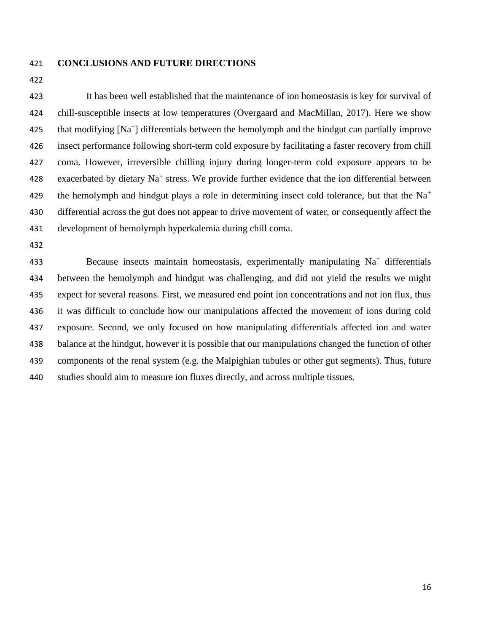#### **CONCLUSIONS AND FUTURE DIRECTIONS**

 It has been well established that the maintenance of ion homeostasis is key for survival of chill-susceptible insects at low temperatures (Overgaard and MacMillan, 2017). Here we show 425 that modifying  $[Na^+]$  differentials between the hemolymph and the hindgut can partially improve insect performance following short-term cold exposure by facilitating a faster recovery from chill coma. However, irreversible chilling injury during longer-term cold exposure appears to be 428 exacerbated by dietary  $Na<sup>+</sup>$  stress. We provide further evidence that the ion differential between the hemolymph and hindgut plays a role in determining insect cold tolerance, but that the  $Na<sup>+</sup>$  differential across the gut does not appear to drive movement of water, or consequently affect the development of hemolymph hyperkalemia during chill coma.

433 Because insects maintain homeostasis, experimentally manipulating  $Na<sup>+</sup>$  differentials between the hemolymph and hindgut was challenging, and did not yield the results we might expect for several reasons. First, we measured end point ion concentrations and not ion flux, thus it was difficult to conclude how our manipulations affected the movement of ions during cold exposure. Second, we only focused on how manipulating differentials affected ion and water balance at the hindgut, however it is possible that our manipulations changed the function of other components of the renal system (e.g. the Malpighian tubules or other gut segments). Thus, future studies should aim to measure ion fluxes directly, and across multiple tissues.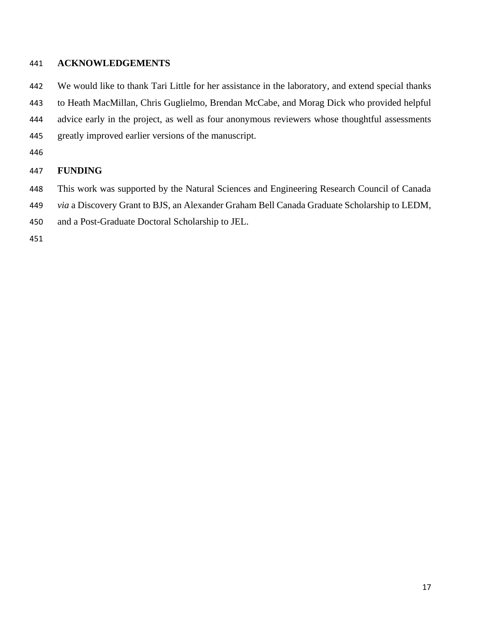# **ACKNOWLEDGEMENTS**

 We would like to thank Tari Little for her assistance in the laboratory, and extend special thanks to Heath MacMillan, Chris Guglielmo, Brendan McCabe, and Morag Dick who provided helpful advice early in the project, as well as four anonymous reviewers whose thoughtful assessments greatly improved earlier versions of the manuscript.

# **FUNDING**

- This work was supported by the Natural Sciences and Engineering Research Council of Canada
- *via* a Discovery Grant to BJS, an Alexander Graham Bell Canada Graduate Scholarship to LEDM,
- and a Post-Graduate Doctoral Scholarship to JEL.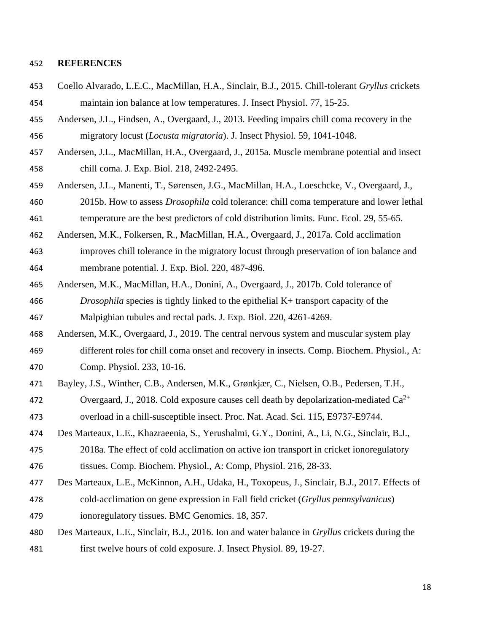#### **REFERENCES**

- Coello Alvarado, L.E.C., MacMillan, H.A., Sinclair, B.J., 2015. Chill-tolerant *Gryllus* crickets maintain ion balance at low temperatures. J. Insect Physiol. 77, 15-25.
- Andersen, J.L., Findsen, A., Overgaard, J., 2013. Feeding impairs chill coma recovery in the migratory locust (*Locusta migratoria*). J. Insect Physiol. 59, 1041-1048.
- Andersen, J.L., MacMillan, H.A., Overgaard, J., 2015a. Muscle membrane potential and insect chill coma. J. Exp. Biol. 218, 2492-2495.
- Andersen, J.L., Manenti, T., Sørensen, J.G., MacMillan, H.A., Loeschcke, V., Overgaard, J., 2015b. How to assess *Drosophila* cold tolerance: chill coma temperature and lower lethal

temperature are the best predictors of cold distribution limits. Func. Ecol. 29, 55-65.

- Andersen, M.K., Folkersen, R., MacMillan, H.A., Overgaard, J., 2017a. Cold acclimation
- improves chill tolerance in the migratory locust through preservation of ion balance and membrane potential. J. Exp. Biol. 220, 487-496.
- Andersen, M.K., MacMillan, H.A., Donini, A., Overgaard, J., 2017b. Cold tolerance of *Drosophila* species is tightly linked to the epithelial K+ transport capacity of the Malpighian tubules and rectal pads. J. Exp. Biol. 220, 4261-4269.
- Andersen, M.K., Overgaard, J., 2019. The central nervous system and muscular system play different roles for chill coma onset and recovery in insects. Comp. Biochem. Physiol., A:
- Comp. Physiol. 233, 10-16.
- Bayley, J.S., Winther, C.B., Andersen, M.K., Grønkjær, C., Nielsen, O.B., Pedersen, T.H.,
- 472 Overgaard, J., 2018. Cold exposure causes cell death by depolarization-mediated  $Ca^{2+}$

overload in a chill-susceptible insect. Proc. Nat. Acad. Sci. 115, E9737-E9744.

- Des Marteaux, L.E., Khazraeenia, S., Yerushalmi, G.Y., Donini, A., Li, N.G., Sinclair, B.J.,
- 2018a. The effect of cold acclimation on active ion transport in cricket ionoregulatory
- tissues. Comp. Biochem. Physiol., A: Comp, Physiol. 216, 28-33.
- Des Marteaux, L.E., McKinnon, A.H., Udaka, H., Toxopeus, J., Sinclair, B.J., 2017. Effects of
- cold-acclimation on gene expression in Fall field cricket (*Gryllus pennsylvanicus*) ionoregulatory tissues. BMC Genomics. 18, 357.
- Des Marteaux, L.E., Sinclair, B.J., 2016. Ion and water balance in *Gryllus* crickets during the first twelve hours of cold exposure. J. Insect Physiol. 89, 19-27.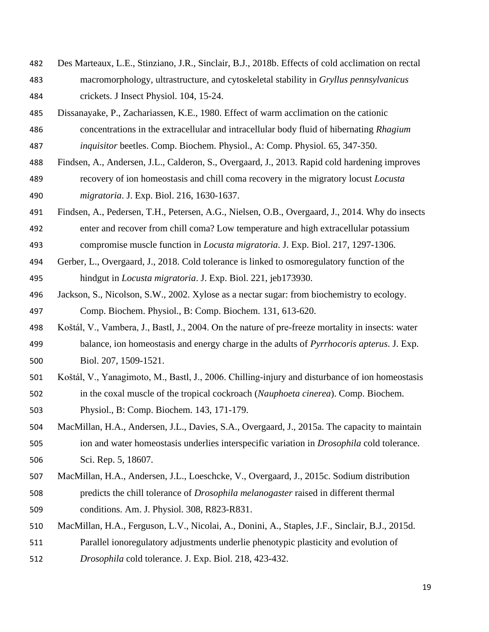- Des Marteaux, L.E., Stinziano, J.R., Sinclair, B.J., 2018b. Effects of cold acclimation on rectal macromorphology, ultrastructure, and cytoskeletal stability in *Gryllus pennsylvanicus* crickets. J Insect Physiol. 104, 15-24.
- Dissanayake, P., Zachariassen, K.E., 1980. Effect of warm acclimation on the cationic
- concentrations in the extracellular and intracellular body fluid of hibernating *Rhagium*
- *inquisitor* beetles. Comp. Biochem. Physiol., A: Comp. Physiol. 65, 347-350.
- Findsen, A., Andersen, J.L., Calderon, S., Overgaard, J., 2013. Rapid cold hardening improves recovery of ion homeostasis and chill coma recovery in the migratory locust *Locusta migratoria*. J. Exp. Biol. 216, 1630-1637.
- Findsen, A., Pedersen, T.H., Petersen, A.G., Nielsen, O.B., Overgaard, J., 2014. Why do insects enter and recover from chill coma? Low temperature and high extracellular potassium compromise muscle function in *Locusta migratoria*. J. Exp. Biol. 217, 1297-1306.
- Gerber, L., Overgaard, J., 2018. Cold tolerance is linked to osmoregulatory function of the hindgut in *Locusta migratoria*. J. Exp. Biol. 221, jeb173930.
- Jackson, S., Nicolson, S.W., 2002. Xylose as a nectar sugar: from biochemistry to ecology. Comp. Biochem. Physiol., B: Comp. Biochem. 131, 613-620.
- Koštál, V., Vambera, J., Bastl, J., 2004. On the nature of pre-freeze mortality in insects: water balance, ion homeostasis and energy charge in the adults of *Pyrrhocoris apterus*. J. Exp. Biol. 207, 1509-1521.
- Koštál, V., Yanagimoto, M., Bastl, J., 2006. Chilling-injury and disturbance of ion homeostasis in the coxal muscle of the tropical cockroach (*Nauphoeta cinerea*). Comp. Biochem.
- Physiol., B: Comp. Biochem. 143, 171-179.
- MacMillan, H.A., Andersen, J.L., Davies, S.A., Overgaard, J., 2015a. The capacity to maintain ion and water homeostasis underlies interspecific variation in *Drosophila* cold tolerance. Sci. Rep. 5, 18607.
- MacMillan, H.A., Andersen, J.L., Loeschcke, V., Overgaard, J., 2015c. Sodium distribution predicts the chill tolerance of *Drosophila melanogaster* raised in different thermal conditions. Am. J. Physiol. 308, R823-R831.
- MacMillan, H.A., Ferguson, L.V., Nicolai, A., Donini, A., Staples, J.F., Sinclair, B.J., 2015d.
- Parallel ionoregulatory adjustments underlie phenotypic plasticity and evolution of *Drosophila* cold tolerance. J. Exp. Biol. 218, 423-432.
-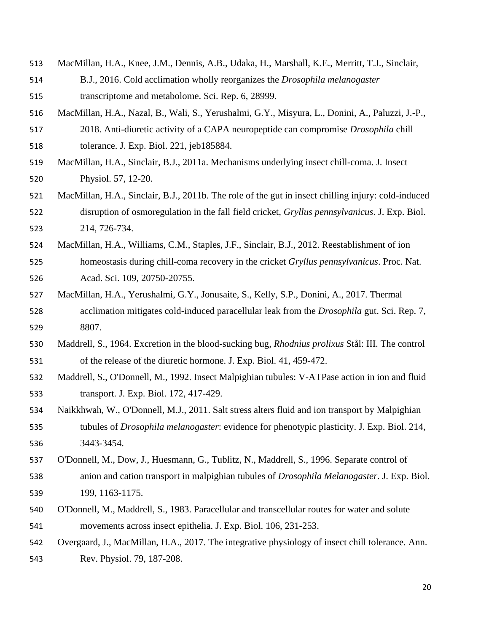- MacMillan, H.A., Knee, J.M., Dennis, A.B., Udaka, H., Marshall, K.E., Merritt, T.J., Sinclair,
- B.J., 2016. Cold acclimation wholly reorganizes the *Drosophila melanogaster* transcriptome and metabolome. Sci. Rep. 6, 28999.
- MacMillan, H.A., Nazal, B., Wali, S., Yerushalmi, G.Y., Misyura, L., Donini, A., Paluzzi, J.-P.,
- 2018. Anti-diuretic activity of a CAPA neuropeptide can compromise *Drosophila* chill tolerance. J. Exp. Biol. 221, jeb185884.
- MacMillan, H.A., Sinclair, B.J., 2011a. Mechanisms underlying insect chill-coma. J. Insect Physiol. 57, 12-20.
- MacMillan, H.A., Sinclair, B.J., 2011b. The role of the gut in insect chilling injury: cold-induced disruption of osmoregulation in the fall field cricket, *Gryllus pennsylvanicus*. J. Exp. Biol. 214, 726-734.
- MacMillan, H.A., Williams, C.M., Staples, J.F., Sinclair, B.J., 2012. Reestablishment of ion homeostasis during chill-coma recovery in the cricket *Gryllus pennsylvanicus*. Proc. Nat.
- Acad. Sci. 109, 20750-20755.
- MacMillan, H.A., Yerushalmi, G.Y., Jonusaite, S., Kelly, S.P., Donini, A., 2017. Thermal acclimation mitigates cold-induced paracellular leak from the *Drosophila* gut. Sci. Rep. 7, 8807.
- Maddrell, S., 1964. Excretion in the blood-sucking bug*, Rhodnius prolixus* Stål: III. The control of the release of the diuretic hormone. J. Exp. Biol. 41, 459-472.
- Maddrell, S., O'Donnell, M., 1992. Insect Malpighian tubules: V-ATPase action in ion and fluid transport. J. Exp. Biol. 172, 417-429.
- Naikkhwah, W., O'Donnell, M.J., 2011. Salt stress alters fluid and ion transport by Malpighian tubules of *Drosophila melanogaster*: evidence for phenotypic plasticity. J. Exp. Biol. 214, 3443-3454.
- O'Donnell, M., Dow, J., Huesmann, G., Tublitz, N., Maddrell, S., 1996. Separate control of
- anion and cation transport in malpighian tubules of *Drosophila Melanogaster*. J. Exp. Biol. 199, 1163-1175.
- O'Donnell, M., Maddrell, S., 1983. Paracellular and transcellular routes for water and solute movements across insect epithelia. J. Exp. Biol. 106, 231-253.
- Overgaard, J., MacMillan, H.A., 2017. The integrative physiology of insect chill tolerance. Ann.
- Rev. Physiol. 79, 187-208.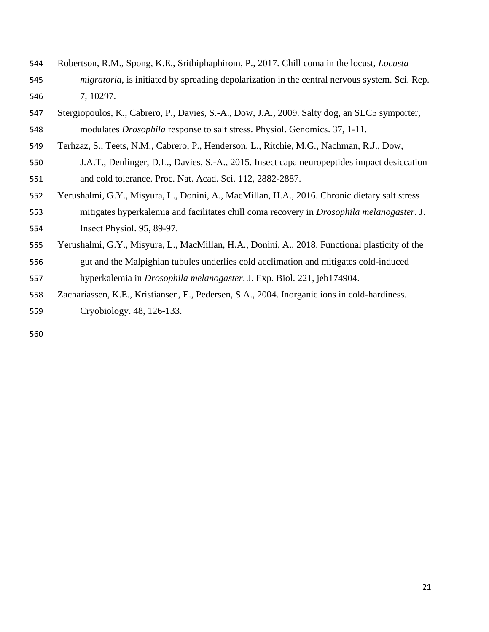- Robertson, R.M., Spong, K.E., Srithiphaphirom, P., 2017. Chill coma in the locust, *Locusta migratoria*, is initiated by spreading depolarization in the central nervous system. Sci. Rep. 7, 10297.
- Stergiopoulos, K., Cabrero, P., Davies, S.-A., Dow, J.A., 2009. Salty dog, an SLC5 symporter, modulates *Drosophila* response to salt stress. Physiol. Genomics. 37, 1-11.
- Terhzaz, S., Teets, N.M., Cabrero, P., Henderson, L., Ritchie, M.G., Nachman, R.J., Dow,
- J.A.T., Denlinger, D.L., Davies, S.-A., 2015. Insect capa neuropeptides impact desiccation and cold tolerance. Proc. Nat. Acad. Sci. 112, 2882-2887.
- Yerushalmi, G.Y., Misyura, L., Donini, A., MacMillan, H.A., 2016. Chronic dietary salt stress
- mitigates hyperkalemia and facilitates chill coma recovery in *Drosophila melanogaster*. J.
- Insect Physiol. 95, 89-97.
- Yerushalmi, G.Y., Misyura, L., MacMillan, H.A., Donini, A., 2018. Functional plasticity of the
- gut and the Malpighian tubules underlies cold acclimation and mitigates cold-induced hyperkalemia in *Drosophila melanogaster*. J. Exp. Biol. 221, jeb174904.
- Zachariassen, K.E., Kristiansen, E., Pedersen, S.A., 2004. Inorganic ions in cold-hardiness. Cryobiology. 48, 126-133.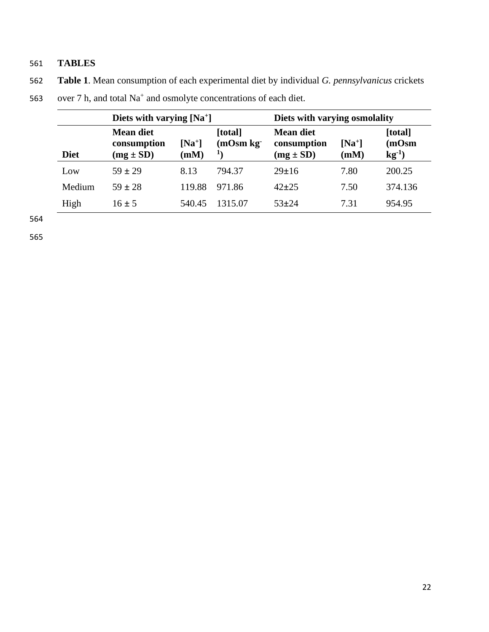# 561 **TABLES**

562 **Table 1**. Mean consumption of each experimental diet by individual *G. pennsylvanicus* crickets

| Diets with varying $[Na^+]$ |                                                  |                  |                               | Diets with varying osmolality             |                  |                                |
|-----------------------------|--------------------------------------------------|------------------|-------------------------------|-------------------------------------------|------------------|--------------------------------|
| <b>Diet</b>                 | <b>Mean diet</b><br>consumption<br>$(mg \pm SD)$ | $[Na^+]$<br>(mM) | [total]<br>$(mOsm kg-)$<br>11 | Mean diet<br>consumption<br>$(mg \pm SD)$ | $[Na^+]$<br>(mM) | [total]<br>(mOsm)<br>$kg^{-1}$ |
| Low                         | $59 + 29$                                        | 8.13             | 794.37                        | $29 \pm 16$                               | 7.80             | 200.25                         |
| Medium                      | $59 \pm 28$                                      | 119.88           | 971.86                        | $42 + 25$                                 | 7.50             | 374.136                        |
| High                        | $16 \pm 5$                                       | 540.45           | 1315.07                       | $53 + 24$                                 | 7.31             | 954.95                         |

# 563 over 7 h, and total  $Na^+$  and osmolyte concentrations of each diet.

564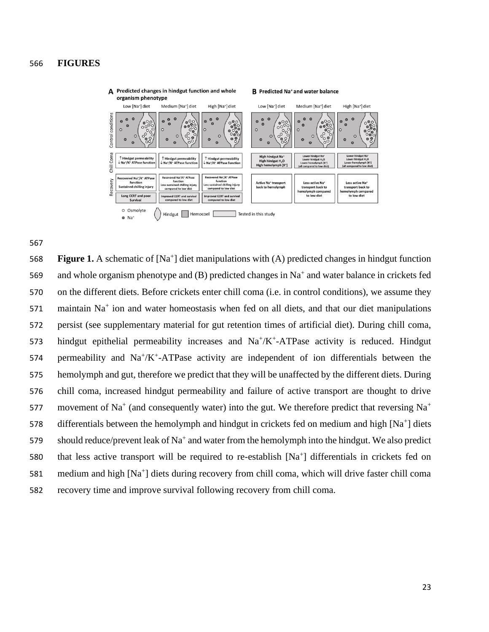## 566 **FIGURES**



567

**Figure 1.** A schematic of [Na<sup>+</sup>] diet manipulations with (A) predicted changes in hindgut function 569 and whole organism phenotype and  $(B)$  predicted changes in Na<sup>+</sup> and water balance in crickets fed 570 on the different diets. Before crickets enter chill coma (i.e. in control conditions), we assume they 571 maintain  $Na<sup>+</sup>$  ion and water homeostasis when fed on all diets, and that our diet manipulations 572 persist (see supplementary material for gut retention times of artificial diet). During chill coma, 573 hindgut epithelial permeability increases and  $Na^+/K^+$ -ATPase activity is reduced. Hindgut 574 permeability and  $\text{Na}^+/\text{K}^+$ -ATPase activity are independent of ion differentials between the 575 hemolymph and gut, therefore we predict that they will be unaffected by the different diets. During 576 chill coma, increased hindgut permeability and failure of active transport are thought to drive movement of Na<sup>+</sup> (and consequently water) into the gut. We therefore predict that reversing Na<sup>+</sup> 577 578 differentials between the hemolymph and hindgut in crickets fed on medium and high  $[Na^+]$  diets 579 should reduce/prevent leak of Na<sup>+</sup> and water from the hemolymph into the hindgut. We also predict 580 that less active transport will be required to re-establish  $[Na<sup>+</sup>]$  differentials in crickets fed on 581 medium and high [Na<sup>+</sup>] diets during recovery from chill coma, which will drive faster chill coma 582 recovery time and improve survival following recovery from chill coma.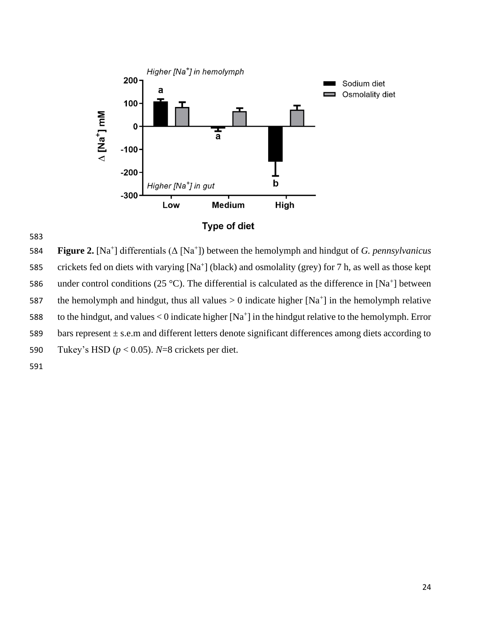

**Figure 2.** [Na<sup>+</sup>] differentials (Δ [Na<sup>+</sup>]) between the hemolymph and hindgut of *G. pennsylvanicus* 585 crickets fed on diets with varying  $[Na^+]$  (black) and osmolality (grey) for 7 h, as well as those kept 586 under control conditions (25 °C). The differential is calculated as the difference in [Na<sup>+</sup>] between 587 the hemolymph and hindgut, thus all values  $> 0$  indicate higher [Na<sup>+</sup>] in the hemolymph relative 588 to the hindgut, and values < 0 indicate higher  $[Na^+]$  in the hindgut relative to the hemolymph. Error 589 bars represent  $\pm$  s.e.m and different letters denote significant differences among diets according to 590 Tukey's HSD (*p* < 0.05). *N*=8 crickets per diet. 591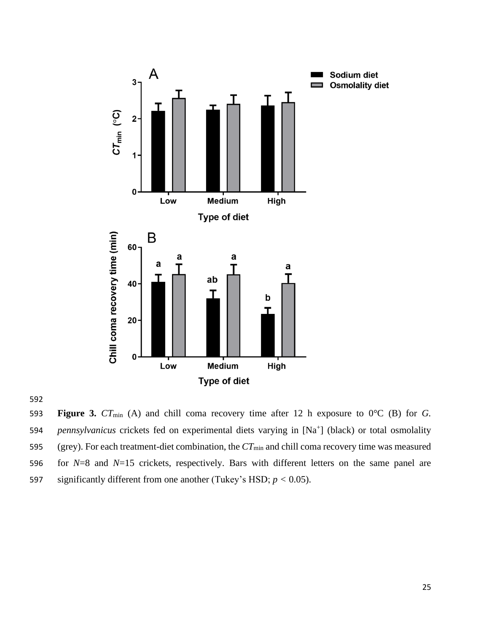



 **Figure 3.** *CT*min (A) and chill coma recovery time after 12 h exposure to 0°C (B) for *G.*  594 *pennsylvanicus* crickets fed on experimental diets varying in [Na<sup>+</sup>] (black) or total osmolality (grey). For each treatment-diet combination, the *CT*min and chill coma recovery time was measured for *N*=8 and *N*=15 crickets, respectively. Bars with different letters on the same panel are 597 significantly different from one another (Tukey's HSD;  $p < 0.05$ ).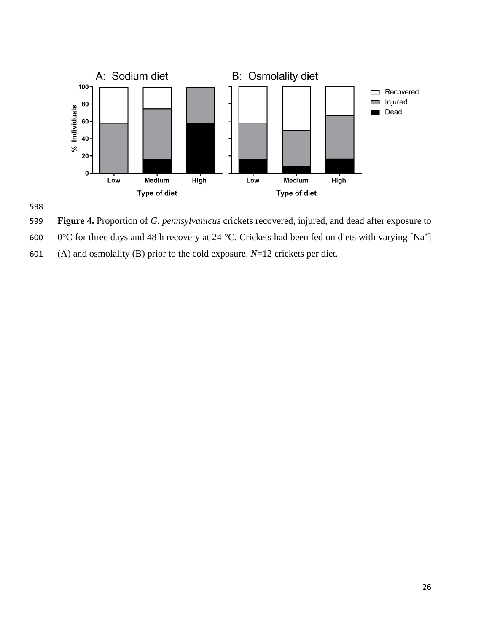



**Figure 4.** Proportion of *G. pennsylvanicus* crickets recovered, injured, and dead after exposure to

- 600  $\,$  0°C for three days and 48 h recovery at 24 °C. Crickets had been fed on diets with varying [Na<sup>+</sup>]
- (A) and osmolality (B) prior to the cold exposure. *N*=12 crickets per diet.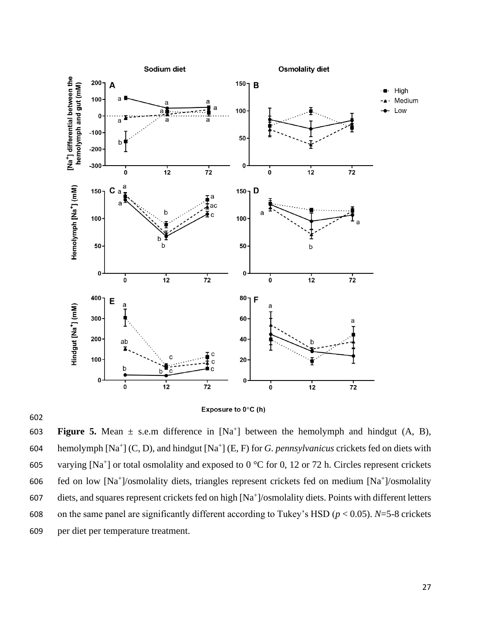

602

**Figure 5.** Mean  $\pm$  s.e.m difference in  $[Na^+]$  between the hemolymph and hindgut  $(A, B)$ , 604 hemolymph [Na<sup>+</sup>] (C, D), and hindgut [Na<sup>+</sup>] (E, F) for *G. pennsylvanicus* crickets fed on diets with 605 varying [Na<sup>+</sup>] or total osmolality and exposed to  $0^{\circ}$ C for 0, 12 or 72 h. Circles represent crickets 606 fed on low  $[Na^+]$ /osmolality diets, triangles represent crickets fed on medium  $[Na^+]$ /osmolality 607 diets, and squares represent crickets fed on high [Na<sup>+</sup>]/osmolality diets. Points with different letters 608 on the same panel are significantly different according to Tukey's HSD ( $p < 0.05$ ). *N*=5-8 crickets 609 per diet per temperature treatment.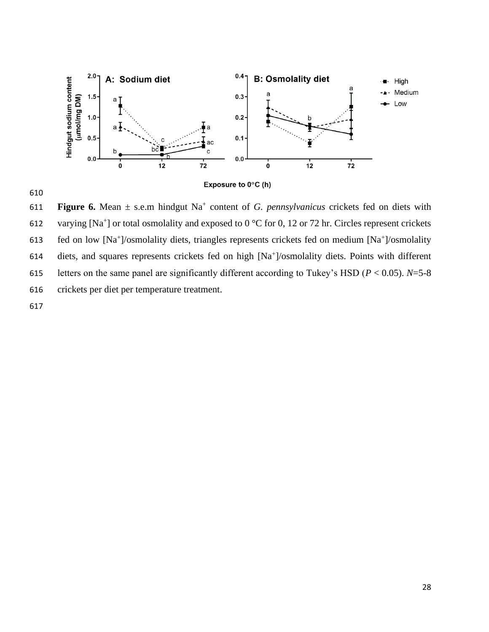

610

**Figure 6.** Mean  $\pm$  s.e.m hindgut Na<sup> $+$ </sup> content of *G. pennsylvanicus* crickets fed on diets with 612 varying [Na<sup>+</sup>] or total osmolality and exposed to  $0^{\circ}$ C for 0, 12 or 72 hr. Circles represent crickets 613 fed on low [Na<sup>+</sup>]/osmolality diets, triangles represents crickets fed on medium [Na<sup>+</sup>]/osmolality 614 diets, and squares represents crickets fed on high [Na<sup>+</sup>]/osmolality diets. Points with different 615 letters on the same panel are significantly different according to Tukey's HSD ( $P < 0.05$ ).  $N=5-8$ 616 crickets per diet per temperature treatment. 617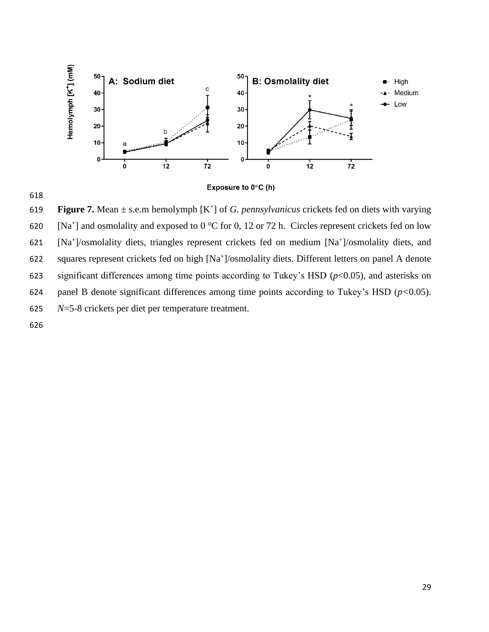



**Figure 7.** Mean  $\pm$  s.e.m hemolymph  $[K^+]$  of *G. pennsylvanicus* crickets fed on diets with varying 620 [Na<sup>+</sup>] and osmolality and exposed to  $0^{\circ}$ C for 0, 12 or 72 h. Circles represent crickets fed on low 621 [Na<sup>+</sup>]/osmolality diets, triangles represent crickets fed on medium [Na<sup>+</sup>]/osmolality diets, and 622 squares represent crickets fed on high [Na<sup>+</sup>]/osmolality diets. Different letters on panel A denote 623 significant differences among time points according to Tukey's HSD (*p*<0.05), and asterisks on 624 panel B denote significant differences among time points according to Tukey's HSD (*p<*0.05). 625 *N*=5-8 crickets per diet per temperature treatment.